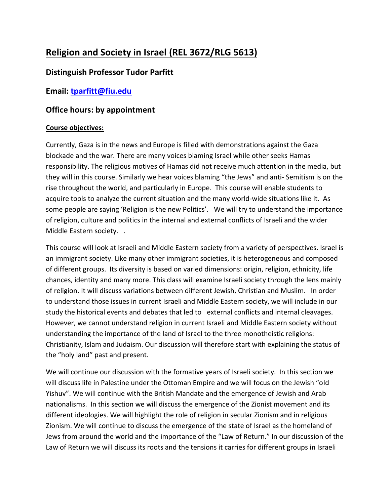# **Religion and Society in Israel (REL 3672/RLG 5613)**

# **Distinguish Professor Tudor Parfitt**

# **Email: [tparfitt@fiu.edu](mailto:tparfitt@fiu.edu)**

# **Office hours: by appointment**

#### **Course objectives:**

Currently, Gaza is in the news and Europe is filled with demonstrations against the Gaza blockade and the war. There are many voices blaming Israel while other seeks Hamas responsibility. The religious motives of Hamas did not receive much attention in the media, but they will in this course. Similarly we hear voices blaming "the Jews" and anti- Semitism is on the rise throughout the world, and particularly in Europe. This course will enable students to acquire tools to analyze the current situation and the many world-wide situations like it. As some people are saying 'Religion is the new Politics'. We will try to understand the importance of religion, culture and politics in the internal and external conflicts of Israeli and the wider Middle Eastern society. .

This course will look at Israeli and Middle Eastern society from a variety of perspectives. Israel is an immigrant society. Like many other immigrant societies, it is heterogeneous and composed of different groups. Its diversity is based on varied dimensions: origin, religion, ethnicity, life chances, identity and many more. This class will examine Israeli society through the lens mainly of religion. It will discuss variations between different Jewish, Christian and Muslim. In order to understand those issues in current Israeli and Middle Eastern society, we will include in our study the historical events and debates that led to external conflicts and internal cleavages. However, we cannot understand religion in current Israeli and Middle Eastern society without understanding the importance of the land of Israel to the three monotheistic religions: Christianity, Islam and Judaism. Our discussion will therefore start with explaining the status of the "holy land" past and present.

We will continue our discussion with the formative years of Israeli society. In this section we will discuss life in Palestine under the Ottoman Empire and we will focus on the Jewish "old Yishuv". We will continue with the British Mandate and the emergence of Jewish and Arab nationalisms. In this section we will discuss the emergence of the Zionist movement and its different ideologies. We will highlight the role of religion in secular Zionism and in religious Zionism. We will continue to discuss the emergence of the state of Israel as the homeland of Jews from around the world and the importance of the "Law of Return." In our discussion of the Law of Return we will discuss its roots and the tensions it carries for different groups in Israeli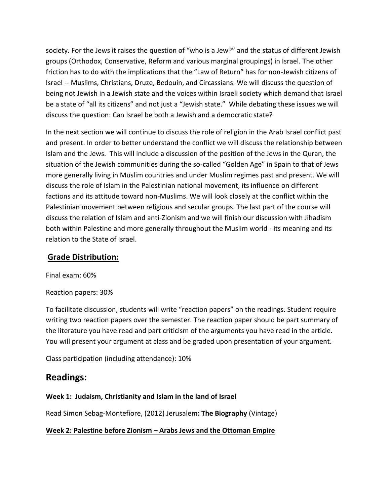society. For the Jews it raises the question of "who is a Jew?" and the status of different Jewish groups (Orthodox, Conservative, Reform and various marginal groupings) in Israel. The other friction has to do with the implications that the "Law of Return" has for non-Jewish citizens of Israel -- Muslims, Christians, Druze, Bedouin, and Circassians. We will discuss the question of being not Jewish in a Jewish state and the voices within Israeli society which demand that Israel be a state of "all its citizens" and not just a "Jewish state." While debating these issues we will discuss the question: Can Israel be both a Jewish and a democratic state?

In the next section we will continue to discuss the role of religion in the Arab Israel conflict past and present. In order to better understand the conflict we will discuss the relationship between Islam and the Jews. This will include a discussion of the position of the Jews in the Quran, the situation of the Jewish communities during the so-called "Golden Age" in Spain to that of Jews more generally living in Muslim countries and under Muslim regimes past and present. We will discuss the role of Islam in the Palestinian national movement, its influence on different factions and its attitude toward non-Muslims. We will look closely at the conflict within the Palestinian movement between religious and secular groups. The last part of the course will discuss the relation of Islam and anti-Zionism and we will finish our discussion with Jihadism both within Palestine and more generally throughout the Muslim world - its meaning and its relation to the State of Israel.

# **Grade Distribution:**

Final exam: 60%

Reaction papers: 30%

To facilitate discussion, students will write "reaction papers" on the readings. Student require writing two reaction papers over the semester. The reaction paper should be part summary of the literature you have read and part criticism of the arguments you have read in the article. You will present your argument at class and be graded upon presentation of your argument.

Class participation (including attendance): 10%

# **Readings:**

# **Week 1: Judaism, Christianity and Islam in the land of Israel**

Read Simon Sebag-Montefiore, (2012) Jerusalem**: The Biography** (Vintage)

## **Week 2: Palestine before Zionism – Arabs Jews and the Ottoman Empire**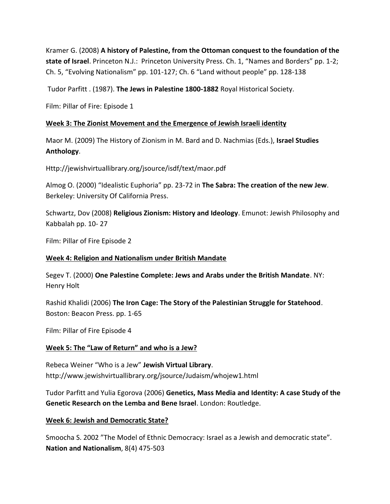Kramer G. (2008) **A history of Palestine, from the Ottoman conquest to the foundation of the state of Israel**. Princeton N.J.: Princeton University Press. Ch. 1, "Names and Borders" pp. 1-2; Ch. 5, "Evolving Nationalism" pp. 101-127; Ch. 6 "Land without people" pp. 128-138

Tudor Parfitt . (1987). **The Jews in Palestine 1800-1882** Royal Historical Society.

Film: Pillar of Fire: Episode 1

#### **Week 3: The Zionist Movement and the Emergence of Jewish Israeli identity**

Maor M. (2009) The History of Zionism in M. Bard and D. Nachmias (Eds.), **Israel Studies Anthology**.

Http://jewishvirtuallibrary.org/jsource/isdf/text/maor.pdf

Almog O. (2000) "Idealistic Euphoria" pp. 23-72 in **The Sabra: The creation of the new Jew**. Berkeley: University Of California Press.

Schwartz, Dov (2008) **Religious Zionism: History and Ideology**. Emunot: Jewish Philosophy and Kabbalah pp. 10- 27

Film: Pillar of Fire Episode 2

#### **Week 4: Religion and Nationalism under British Mandate**

Segev T. (2000) **One Palestine Complete: Jews and Arabs under the British Mandate**. NY: Henry Holt

Rashid Khalidi (2006) **The Iron Cage: The Story of the Palestinian Struggle for Statehood**. Boston: Beacon Press. pp. 1-65

Film: Pillar of Fire Episode 4

## **Week 5: The "Law of Return" and who is a Jew?**

Rebeca Weiner "Who is a Jew" **Jewish Virtual Library**. http://www.jewishvirtuallibrary.org/jsource/Judaism/whojew1.html

Tudor Parfitt and Yulia Egorova (2006) **Genetics, Mass Media and Identity: A case Study of the Genetic Research on the Lemba and Bene Israel**. London: Routledge.

## **Week 6: Jewish and Democratic State?**

Smoocha S. 2002 "The Model of Ethnic Democracy: Israel as a Jewish and democratic state". **Nation and Nationalism**, 8(4) 475-503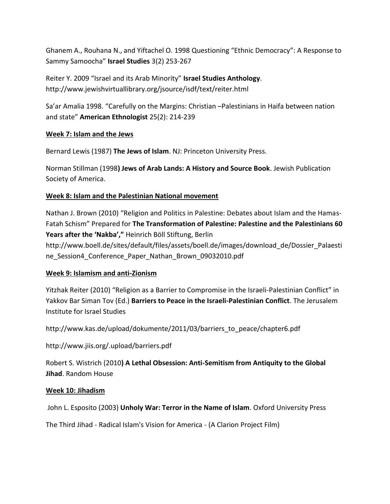Ghanem A., Rouhana N., and Yiftachel O. 1998 Questioning "Ethnic Democracy": A Response to Sammy Samoocha" **Israel Studies** 3(2) 253-267

Reiter Y. 2009 "Israel and its Arab Minority" **Israel Studies Anthology**. http://www.jewishvirtuallibrary.org/jsource/isdf/text/reiter.html

Sa'ar Amalia 1998. "Carefully on the Margins: Christian –Palestinians in Haifa between nation and state" **American Ethnologist** 25(2): 214-239

#### **Week 7: Islam and the Jews**

Bernard Lewis (1987) **The Jews of Islam**. NJ: Princeton University Press.

Norman Stillman (1998**) Jews of Arab Lands: A History and Source Book**. Jewish Publication Society of America.

## **Week 8: Islam and the Palestinian National movement**

Nathan J. Brown (2010) "Religion and Politics in Palestine: Debates about Islam and the Hamas-Fatah Schism" Prepared for **The Transformation of Palestine: Palestine and the Palestinians 60 Years after the 'Nakba',"** Heinrich Böll Stiftung, Berlin

http://www.boell.de/sites/default/files/assets/boell.de/images/download\_de/Dossier\_Palaesti ne Session4 Conference Paper Nathan Brown 09032010.pdf

## **Week 9: Islamism and anti-Zionism**

Yitzhak Reiter (2010) "Religion as a Barrier to Compromise in the Israeli-Palestinian Conflict" in Yakkov Bar Siman Tov (Ed.) **Barriers to Peace in the Israeli-Palestinian Conflict**. The Jerusalem Institute for Israel Studies

http://www.kas.de/upload/dokumente/2011/03/barriers\_to\_peace/chapter6.pdf

http://www.jiis.org/.upload/barriers.pdf

Robert S. Wistrich (2010**) A Lethal Obsession: Anti-Semitism from Antiquity to the Global Jihad**. Random House

#### **Week 10: Jihadism**

John L. Esposito (2003) **Unholy War: Terror in the Name of Islam**. Oxford University Press

The Third Jihad - Radical Islam's Vision for America - (A Clarion Project Film)